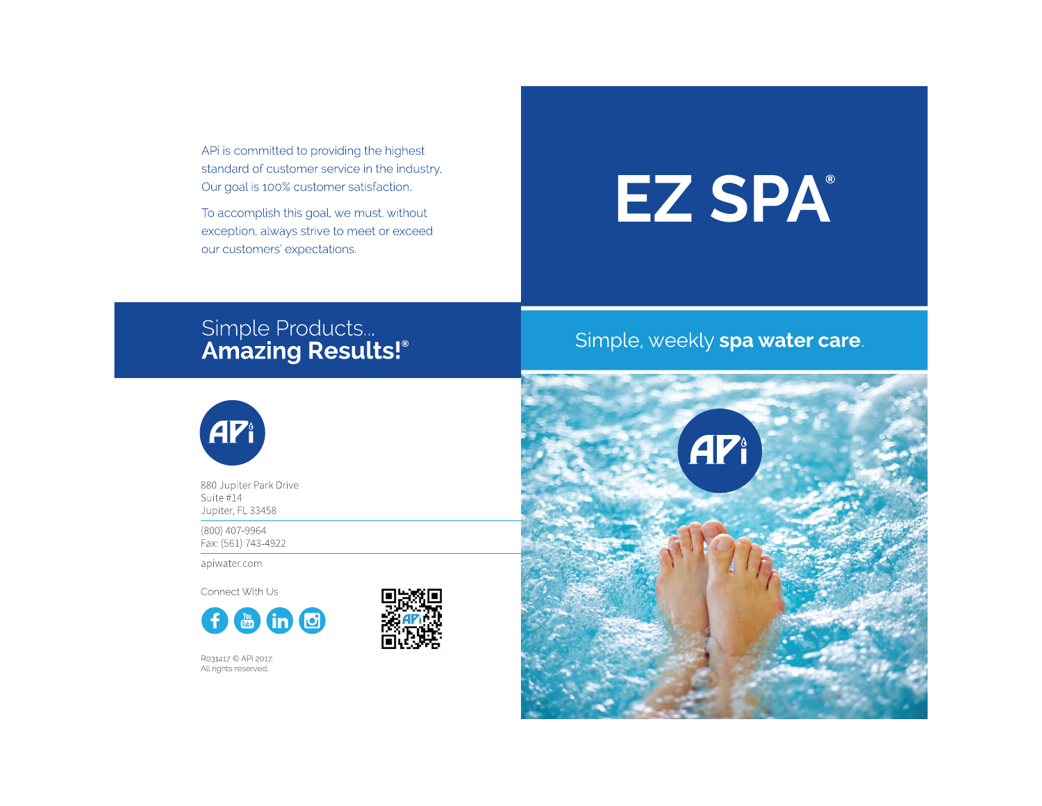APi is committed to providing the highest standard of customer service in the industry. Our goal is 100% customer satisfaction.

To accomplish this goal, we must, without exception, always strive to meet or exceed our customers' expectations.

# **EZ SPA**

## Simple Products...<br>**Amazing Results!**®

## Simple, weekly spa water care.



880 Jupiter Park Drive Suite #14 Jupiter, FL 33458

(800) 407-9964 Fax: (561) 743-4922

apiwater.com

Connect With Us







R031417 © APi 2017. All rights reserved.